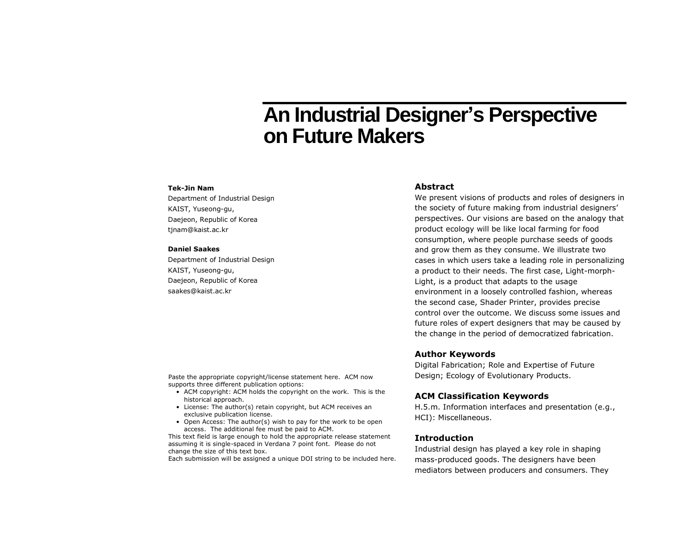# **An Industrial Designer's Perspective on Future Makers**

#### **Tek-Jin Nam**

Department of Industrial Design KAIST, Yuseong-gu, Daejeon, Republic of Korea tjnam@kaist.ac.kr

#### **Daniel Saakes**

Department of Industrial Design KAIST, Yuseong-gu, Daejeon, Republic of Korea saakes@kaist.ac.kr

### **Abstract**

We present visions of products and roles of designers in the society of future making from industrial designers' perspectives. Our visions are based on the analogy that product ecology will be like local farming for food consumption, where people purchase seeds of goods and grow them as they consume. We illustrate two cases in which users take a leading role in personalizing a product to their needs. The first case, Light-morph-Light, is a product that adapts to the usage environment in a loosely controlled fashion, whereas the second case, Shader Printer, provides precise control over the outcome. We discuss some issues and future roles of expert designers that may be caused by the change in the period of democratized fabrication.

## **Author Keywords**

Digital Fabrication; Role and Expertise of Future Design; Ecology of Evolutionary Products.

## **ACM Classification Keywords**

H.5.m. Information interfaces and presentation (e.g., HCI): Miscellaneous.

#### **Introduction**

Industrial design has played a key role in shaping mass-produced goods. The designers have been mediators between producers and consumers. They

Paste the appropriate copyright/license statement here. ACM now supports three different publication options:

- ACM copyright: ACM holds the copyright on the work. This is the historical approach.
- License: The author(s) retain copyright, but ACM receives an exclusive publication license.
- Open Access: The author(s) wish to pay for the work to be open access. The additional fee must be paid to ACM.

This text field is large enough to hold the appropriate release statement assuming it is single-spaced in Verdana 7 point font. Please do not change the size of this text box.

Each submission will be assigned a unique DOI string to be included here.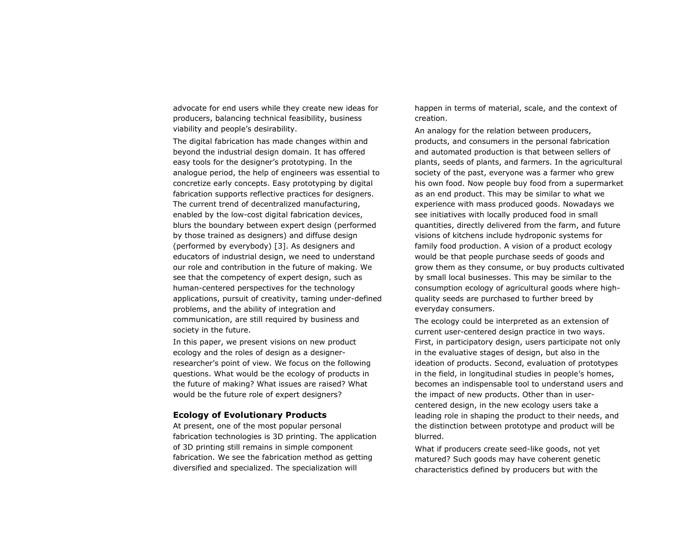advocate for end users while they create new ideas for producers, balancing technical feasibility, business viability and people's desirability.

The digital fabrication has made changes within and beyond the industrial design domain. It has offered easy tools for the designer's prototyping. In the analogue period, the help of engineers was essential to concretize early concepts. Easy prototyping by digital fabrication supports reflective practices for designers. The current trend of decentralized manufacturing, enabled by the low-cost digital fabrication devices, blurs the boundary between expert design (performed by those trained as designers) and diffuse design (performed by everybody) [3]. As designers and educators of industrial design, we need to understand our role and contribution in the future of making. We see that the competency of expert design, such as human-centered perspectives for the technology applications, pursuit of creativity, taming under-defined problems, and the ability of integration and communication, are still required by business and society in the future.

In this paper, we present visions on new product ecology and the roles of design as a designerresearcher's point of view. We focus on the following questions. What would be the ecology of products in the future of making? What issues are raised? What would be the future role of expert designers?

#### **Ecology of Evolutionary Products**

At present, one of the most popular personal fabrication technologies is 3D printing. The application of 3D printing still remains in simple component fabrication. We see the fabrication method as getting diversified and specialized. The specialization will

happen in terms of material, scale, and the context of creation.

An analogy for the relation between producers, products, and consumers in the personal fabrication and automated production is that between sellers of plants, seeds of plants, and farmers. In the agricultural society of the past, everyone was a farmer who grew his own food. Now people buy food from a supermarket as an end product. This may be similar to what we experience with mass produced goods. Nowadays we see initiatives with locally produced food in small quantities, directly delivered from the farm, and future visions of kitchens include hydroponic systems for family food production. A vision of a product ecology would be that people purchase seeds of goods and grow them as they consume, or buy products cultivated by small local businesses. This may be similar to the consumption ecology of agricultural goods where highquality seeds are purchased to further breed by everyday consumers.

The ecology could be interpreted as an extension of current user-centered design practice in two ways. First, in participatory design, users participate not only in the evaluative stages of design, but also in the ideation of products. Second, evaluation of prototypes in the field, in longitudinal studies in people's homes, becomes an indispensable tool to understand users and the impact of new products. Other than in usercentered design, in the new ecology users take a leading role in shaping the product to their needs, and the distinction between prototype and product will be blurred.

What if producers create seed-like goods, not yet matured? Such goods may have coherent genetic characteristics defined by producers but with the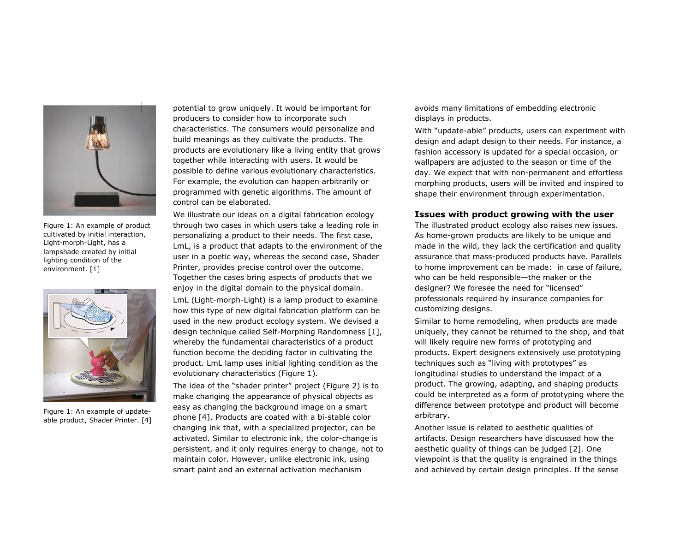

Figure 1: An example of product cultivated by initial interaction, Light-morph-Light, has a lampshade created by initial lighting condition of the environment. [1]



Figure 1: An example of updateable product, Shader Printer. [4]

potential to grow uniquely. It would be important for producers to consider how to incorporate such characteristics. The consumers would personalize and build meanings as they cultivate the products. The products are evolutionary like a living entity that grows together while interacting with users. It would be possible to define various evolutionary characteristics. For example, the evolution can happen arbitrarily or programmed with genetic algorithms. The amount of control can be elaborated.

We illustrate our ideas on a digital fabrication ecology through two cases in which users take a leading role in personalizing a product to their needs. The first case, LmL, is a product that adapts to the environment of the user in a poetic way, whereas the second case, Shader Printer, provides precise control over the outcome. Together the cases bring aspects of products that we enjoy in the digital domain to the physical domain. LmL (Light-morph-Light) is a lamp product to examine how this type of new digital fabrication platform can be used in the new product ecology system. We devised a

design technique called Self-Morphing Randomness [1], whereby the fundamental characteristics of a product function become the deciding factor in cultivating the product. LmL lamp uses initial lighting condition as the evolutionary characteristics (Figure 1).

The idea of the "shader printer" project (Figure 2) is to make changing the appearance of physical objects as easy as changing the background image on a smart phone [4]. Products are coated with a bi-stable color changing ink that, with a specialized projector, can be activated. Similar to electronic ink, the color-change is persistent, and it only requires energy to change, not to maintain color. However, unlike electronic ink, using smart paint and an external activation mechanism

avoids many limitations of embedding electronic displays in products.

With "update-able" products, users can experiment with design and adapt design to their needs. For instance, a fashion accessory is updated for a special occasion, or wallpapers are adjusted to the season or time of the day. We expect that with non-permanent and effortless morphing products, users will be invited and inspired to shape their environment through experimentation.

## **Issues with product growing with the user**

The illustrated product ecology also raises new issues. As home-grown products are likely to be unique and made in the wild, they lack the certification and quality assurance that mass-produced products have. Parallels to home improvement can be made: in case of failure, who can be held responsible—the maker or the designer? We foresee the need for "licensed" professionals required by insurance companies for customizing designs.

Similar to home remodeling, when products are made uniquely, they cannot be returned to the shop, and that will likely require new forms of prototyping and products. Expert designers extensively use prototyping techniques such as "living with prototypes" as longitudinal studies to understand the impact of a product. The growing, adapting, and shaping products could be interpreted as a form of prototyping where the difference between prototype and product will become arbitrary.

Another issue is related to aesthetic qualities of artifacts. Design researchers have discussed how the aesthetic quality of things can be judged [2]. One viewpoint is that the quality is engrained in the things and achieved by certain design principles. If the sense